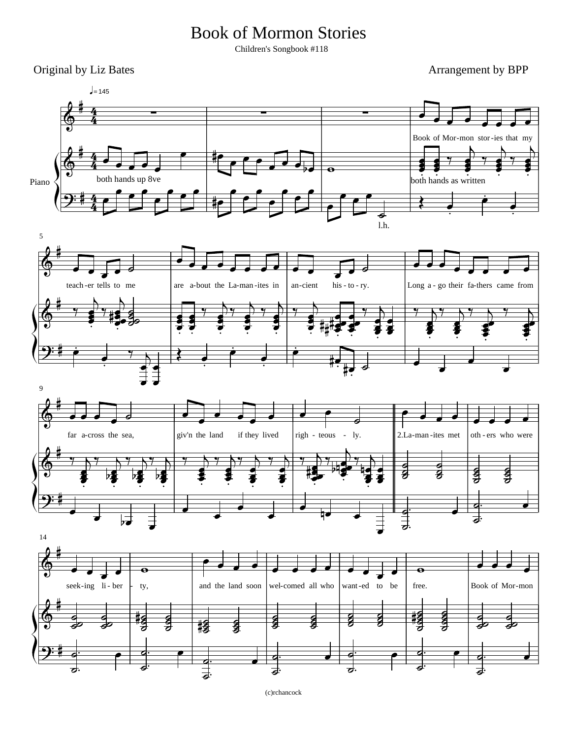## Book of Mormon Stories

Children's Songbook #118

Original by Liz Bates Arrangement by BPP



(c)rchancock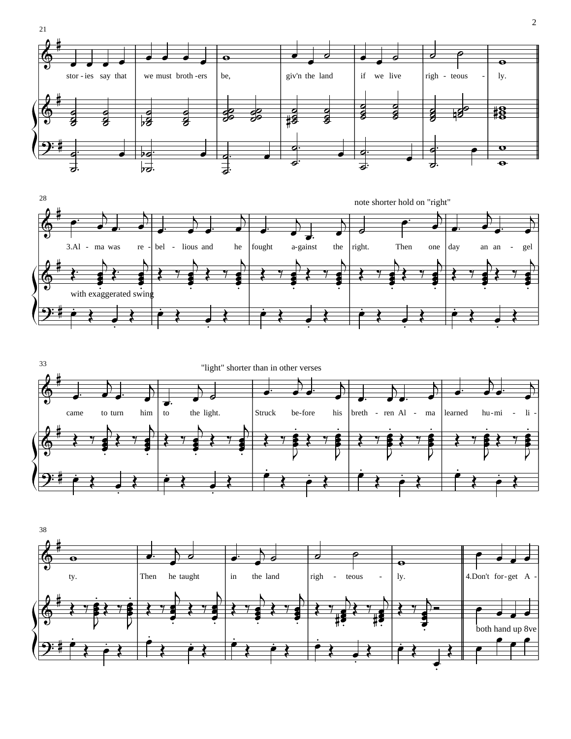







 $\sqrt{2}$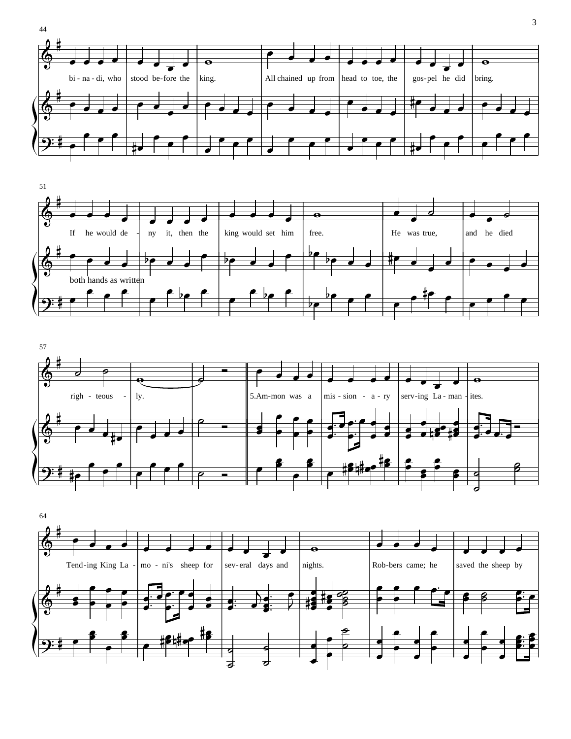





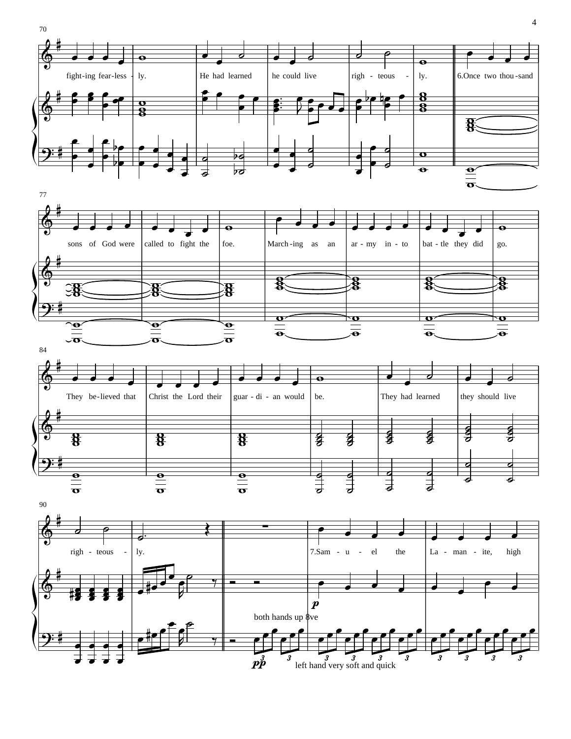





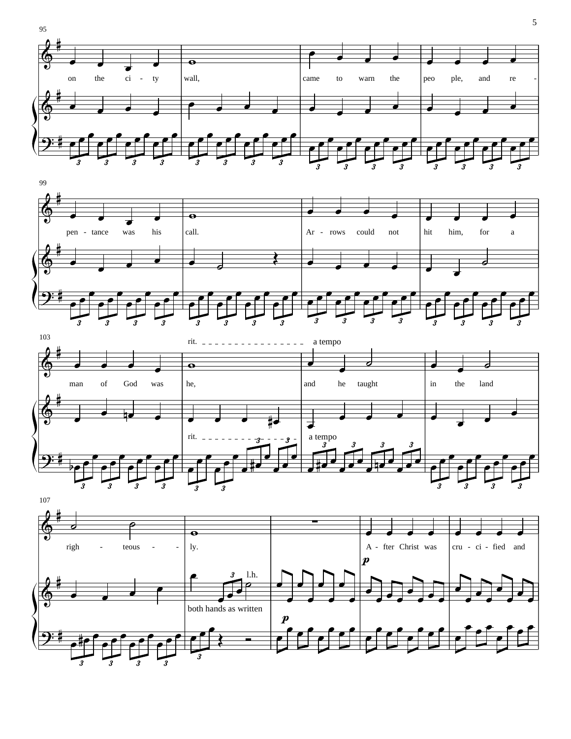







5